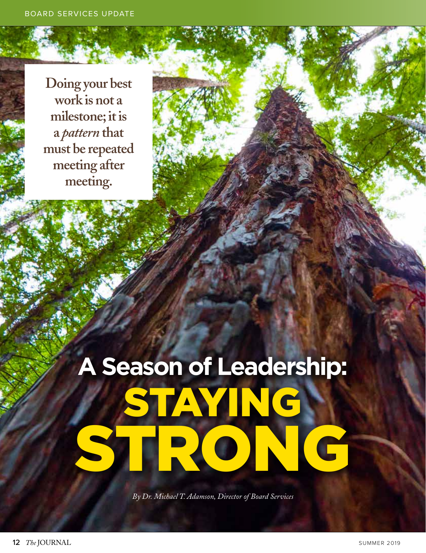**Doing your best work is not a milestone; it is a** *pattern* **that must be repeated meeting after meeting.**

## **A Season of Leadership:** STAYING I STRONG

*By Dr. Michael T. Adamson, Director of Board Services*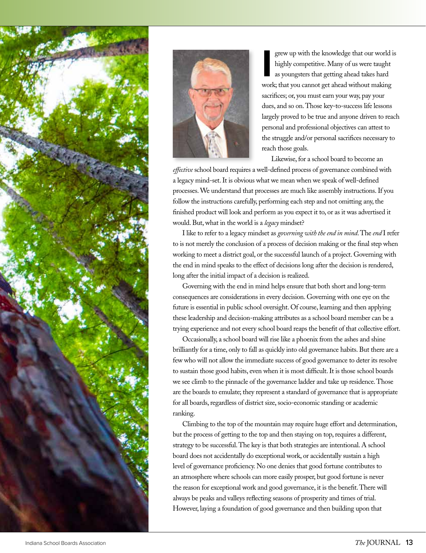



grew up with the knowledge that our world i<br>
highly competitive. Many of us were taught<br>
as youngsters that getting ahead takes hard<br>
work; that you cannot get ahead without making grew up with the knowledge that our world is highly competitive. Many of us were taught as youngsters that getting ahead takes hard sacrifices; or, you must earn your way, pay your dues, and so on. Those key-to-success life lessons largely proved to be true and anyone driven to reach personal and professional objectives can attest to the struggle and/or personal sacrifices necessary to reach those goals.

Likewise, for a school board to become an

*effective* school board requires a well-defined process of governance combined with a legacy mind-set. It is obvious what we mean when we speak of well-defined processes. We understand that processes are much like assembly instructions. If you follow the instructions carefully, performing each step and not omitting any, the finished product will look and perform as you expect it to, or as it was advertised it would. But, what in the world is a *legacy* mindset?

I like to refer to a legacy mindset as *governing with the end in mind*. The *end* I refer to is not merely the conclusion of a process of decision making or the final step when working to meet a district goal, or the successful launch of a project. Governing with the end in mind speaks to the effect of decisions long after the decision is rendered, long after the initial impact of a decision is realized.

Governing with the end in mind helps ensure that both short and long-term consequences are considerations in every decision. Governing with one eye on the future is essential in public school oversight. Of course, learning and then applying these leadership and decision-making attributes as a school board member can be a trying experience and not every school board reaps the benefit of that collective effort.

Occasionally, a school board will rise like a phoenix from the ashes and shine brilliantly for a time, only to fall as quickly into old governance habits. But there are a few who will not allow the immediate success of good governance to deter its resolve to sustain those good habits, even when it is most difficult. It is those school boards we see climb to the pinnacle of the governance ladder and take up residence. Those are the boards to emulate; they represent a standard of governance that is appropriate for all boards, regardless of district size, socio-economic standing or academic ranking.

Climbing to the top of the mountain may require huge effort and determination, but the process of getting to the top and then staying on top, requires a different, strategy to be successful. The key is that both strategies are intentional. A school board does not accidentally do exceptional work, or accidentally sustain a high level of governance proficiency. No one denies that good fortune contributes to an atmosphere where schools can more easily prosper, but good fortune is never the reason for exceptional work and good governance, it is the benefit. There will always be peaks and valleys reflecting seasons of prosperity and times of trial. However, laying a foundation of good governance and then building upon that